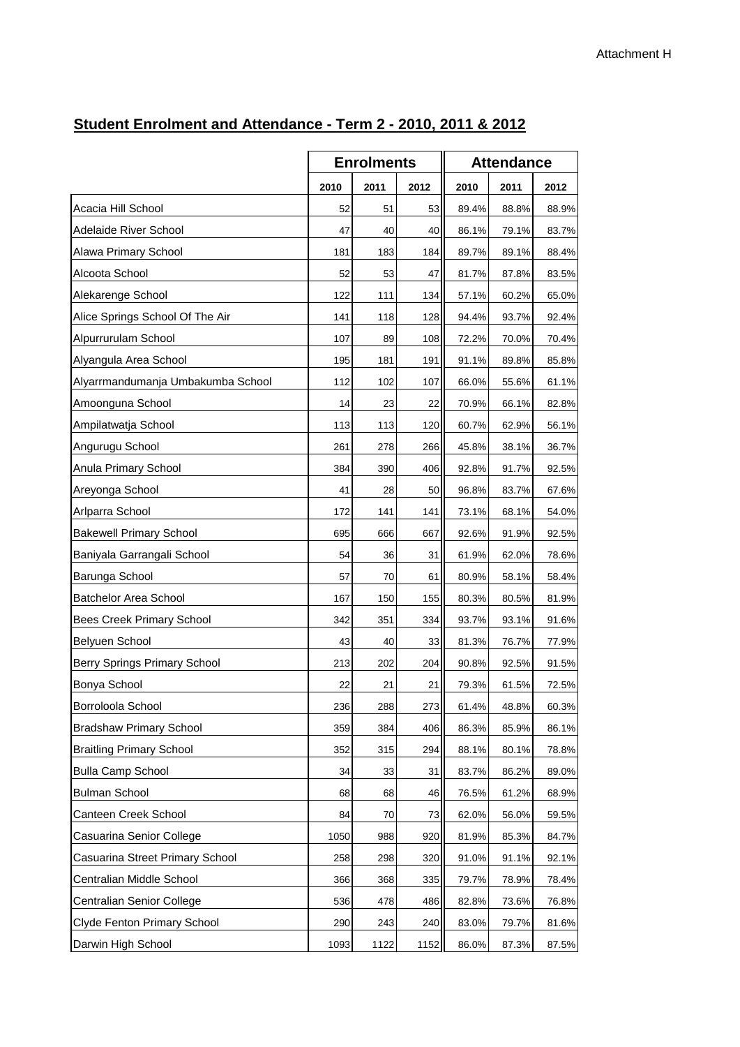|                                    | <b>Enrolments</b> |      | <b>Attendance</b> |       |       |       |
|------------------------------------|-------------------|------|-------------------|-------|-------|-------|
|                                    | 2010              | 2011 | 2012              | 2010  | 2011  | 2012  |
| Acacia Hill School                 | 52                | 51   | 53                | 89.4% | 88.8% | 88.9% |
| Adelaide River School              | 47                | 40   | 40                | 86.1% | 79.1% | 83.7% |
| Alawa Primary School               | 181               | 183  | 184               | 89.7% | 89.1% | 88.4% |
| Alcoota School                     | 52                | 53   | 47                | 81.7% | 87.8% | 83.5% |
| Alekarenge School                  | 122               | 111  | 134               | 57.1% | 60.2% | 65.0% |
| Alice Springs School Of The Air    | 141               | 118  | 128               | 94.4% | 93.7% | 92.4% |
| Alpurrurulam School                | 107               | 89   | 108               | 72.2% | 70.0% | 70.4% |
| Alyangula Area School              | 195               | 181  | 191               | 91.1% | 89.8% | 85.8% |
| Alyarrmandumanja Umbakumba School  | 112               | 102  | 107               | 66.0% | 55.6% | 61.1% |
| Amoonguna School                   | 14                | 23   | 22                | 70.9% | 66.1% | 82.8% |
| Ampilatwatja School                | 113               | 113  | 120               | 60.7% | 62.9% | 56.1% |
| Angurugu School                    | 261               | 278  | 266               | 45.8% | 38.1% | 36.7% |
| Anula Primary School               | 384               | 390  | 406               | 92.8% | 91.7% | 92.5% |
| Areyonga School                    | 41                | 28   | 50                | 96.8% | 83.7% | 67.6% |
| Arlparra School                    | 172               | 141  | 141               | 73.1% | 68.1% | 54.0% |
| <b>Bakewell Primary School</b>     | 695               | 666  | 667               | 92.6% | 91.9% | 92.5% |
| Baniyala Garrangali School         | 54                | 36   | 31                | 61.9% | 62.0% | 78.6% |
| Barunga School                     | 57                | 70   | 61                | 80.9% | 58.1% | 58.4% |
| <b>Batchelor Area School</b>       | 167               | 150  | 155               | 80.3% | 80.5% | 81.9% |
| Bees Creek Primary School          | 342               | 351  | 334               | 93.7% | 93.1% | 91.6% |
| Belyuen School                     | 43                | 40   | 33                | 81.3% | 76.7% | 77.9% |
| Berry Springs Primary School       | 213               | 202  | 204               | 90.8% | 92.5% | 91.5% |
| Bonya School                       | 22                | 21   | 21                | 79.3% | 61.5% | 72.5% |
| Borroloola School                  | 236               | 288  | 273               | 61.4% | 48.8% | 60.3% |
| <b>Bradshaw Primary School</b>     | 359               | 384  | 406               | 86.3% | 85.9% | 86.1% |
| <b>Braitling Primary School</b>    | 352               | 315  | 294               | 88.1% | 80.1% | 78.8% |
| <b>Bulla Camp School</b>           | 34                | 33   | 31                | 83.7% | 86.2% | 89.0% |
| <b>Bulman School</b>               | 68                | 68   | 46                | 76.5% | 61.2% | 68.9% |
| Canteen Creek School               | 84                | 70   | 73                | 62.0% | 56.0% | 59.5% |
| Casuarina Senior College           | 1050              | 988  | 920               | 81.9% | 85.3% | 84.7% |
| Casuarina Street Primary School    | 258               | 298  | 320               | 91.0% | 91.1% | 92.1% |
| Centralian Middle School           | 366               | 368  | 335               | 79.7% | 78.9% | 78.4% |
| Centralian Senior College          | 536               | 478  | 486               | 82.8% | 73.6% | 76.8% |
| <b>Clyde Fenton Primary School</b> | 290               | 243  | 240               | 83.0% | 79.7% | 81.6% |
| Darwin High School                 | 1093              | 1122 | 1152              | 86.0% | 87.3% | 87.5% |

## **Student Enrolment and Attendance - Term 2 - 2010, 2011 & 2012**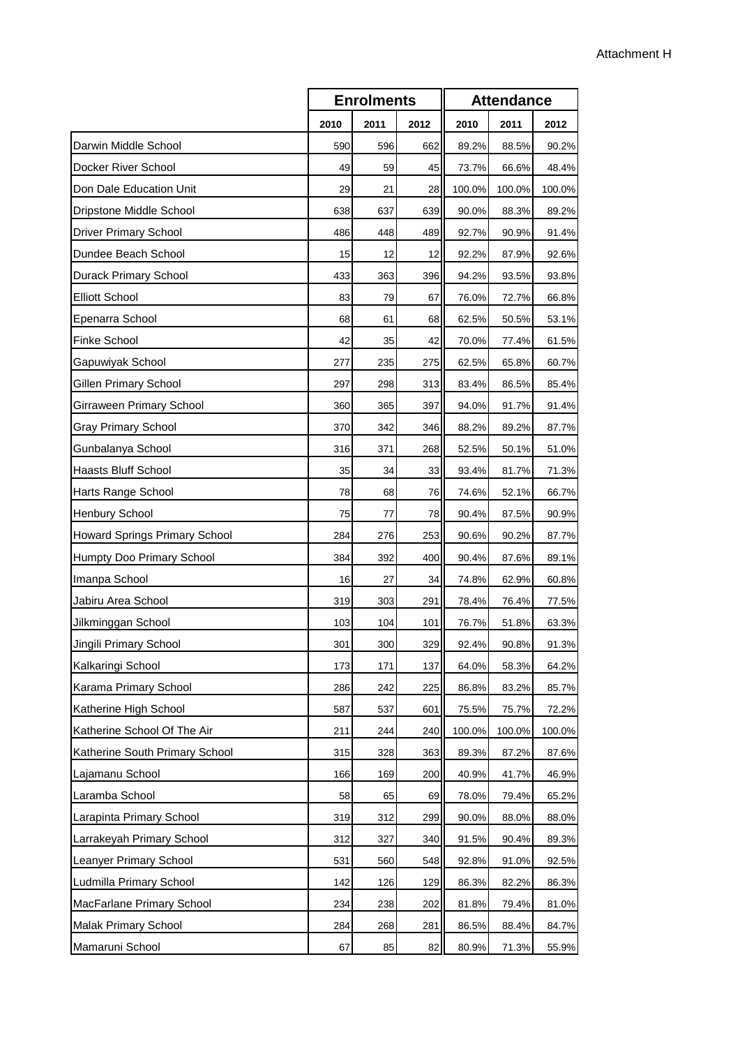|                                |      | <b>Enrolments</b> |      | <b>Attendance</b> |        |        |  |
|--------------------------------|------|-------------------|------|-------------------|--------|--------|--|
|                                | 2010 | 2011              | 2012 | 2010              | 2011   | 2012   |  |
| Darwin Middle School           | 590  | 596               | 662  | 89.2%             | 88.5%  | 90.2%  |  |
| Docker River School            | 49   | 59                | 45   | 73.7%             | 66.6%  | 48.4%  |  |
| Don Dale Education Unit        | 29   | 21                | 28   | 100.0%            | 100.0% | 100.0% |  |
| Dripstone Middle School        | 638  | 637               | 639  | 90.0%             | 88.3%  | 89.2%  |  |
| Driver Primary School          | 486  | 448               | 489  | 92.7%             | 90.9%  | 91.4%  |  |
| Dundee Beach School            | 15   | 12                | 12   | 92.2%             | 87.9%  | 92.6%  |  |
| Durack Primary School          | 433  | 363               | 396  | 94.2%             | 93.5%  | 93.8%  |  |
| <b>Elliott School</b>          | 83   | 79                | 67   | 76.0%             | 72.7%  | 66.8%  |  |
| Epenarra School                | 68   | 61                | 68   | 62.5%             | 50.5%  | 53.1%  |  |
| Finke School                   | 42   | 35                | 42   | 70.0%             | 77.4%  | 61.5%  |  |
| Gapuwiyak School               | 277  | 235               | 275  | 62.5%             | 65.8%  | 60.7%  |  |
| Gillen Primary School          | 297  | 298               | 313  | 83.4%             | 86.5%  | 85.4%  |  |
| Girraween Primary School       | 360  | 365               | 397  | 94.0%             | 91.7%  | 91.4%  |  |
| <b>Gray Primary School</b>     | 370  | 342               | 346  | 88.2%             | 89.2%  | 87.7%  |  |
| Gunbalanya School              | 316  | 371               | 268  | 52.5%             | 50.1%  | 51.0%  |  |
| <b>Haasts Bluff School</b>     | 35   | 34                | 33   | 93.4%             | 81.7%  | 71.3%  |  |
| Harts Range School             | 78   | 68                | 76   | 74.6%             | 52.1%  | 66.7%  |  |
| Henbury School                 | 75   | 77                | 78   | 90.4%             | 87.5%  | 90.9%  |  |
| Howard Springs Primary School  | 284  | 276               | 253  | 90.6%             | 90.2%  | 87.7%  |  |
| Humpty Doo Primary School      | 384  | 392               | 400  | 90.4%             | 87.6%  | 89.1%  |  |
| Imanpa School                  | 16   | 27                | 34   | 74.8%             | 62.9%  | 60.8%  |  |
| Jabiru Area School             | 319  | 303               | 291  | 78.4%             | 76.4%  | 77.5%  |  |
| Jilkminggan School             | 103  | 104               | 101  | 76.7%             | 51.8%  | 63.3%  |  |
| Jingili Primary School         | 301  | 300               | 329I | 92.4%             | 90.8%  | 91.3%  |  |
| Kalkaringi School              | 173  | 171               | 137  | 64.0%             | 58.3%  | 64.2%  |  |
| Karama Primary School          | 286  | 242               | 225  | 86.8%             | 83.2%  | 85.7%  |  |
| Katherine High School          | 587  | 537               | 601  | 75.5%             | 75.7%  | 72.2%  |  |
| Katherine School Of The Air    | 211  | 244               | 240  | 100.0%            | 100.0% | 100.0% |  |
| Katherine South Primary School | 315  | 328               | 363  | 89.3%             | 87.2%  | 87.6%  |  |
| Lajamanu School                | 166  | 169               | 200  | 40.9%             | 41.7%  | 46.9%  |  |
| Laramba School                 | 58   | 65                | 69   | 78.0%             | 79.4%  | 65.2%  |  |
| Larapinta Primary School       | 319  | 312               | 299  | 90.0%             | 88.0%  | 88.0%  |  |
| Larrakeyah Primary School      | 312  | 327               | 340  | 91.5%             | 90.4%  | 89.3%  |  |
| Leanyer Primary School         | 531  | 560               | 548  | 92.8%             | 91.0%  | 92.5%  |  |
| Ludmilla Primary School        | 142  | 126               | 129  | 86.3%             | 82.2%  | 86.3%  |  |
| MacFarlane Primary School      | 234  | 238               | 202  | 81.8%             | 79.4%  | 81.0%  |  |
| Malak Primary School           | 284  | 268               | 281  | 86.5%             | 88.4%  | 84.7%  |  |
| Mamaruni School                | 67   | 85                | 82   | 80.9%             | 71.3%  | 55.9%  |  |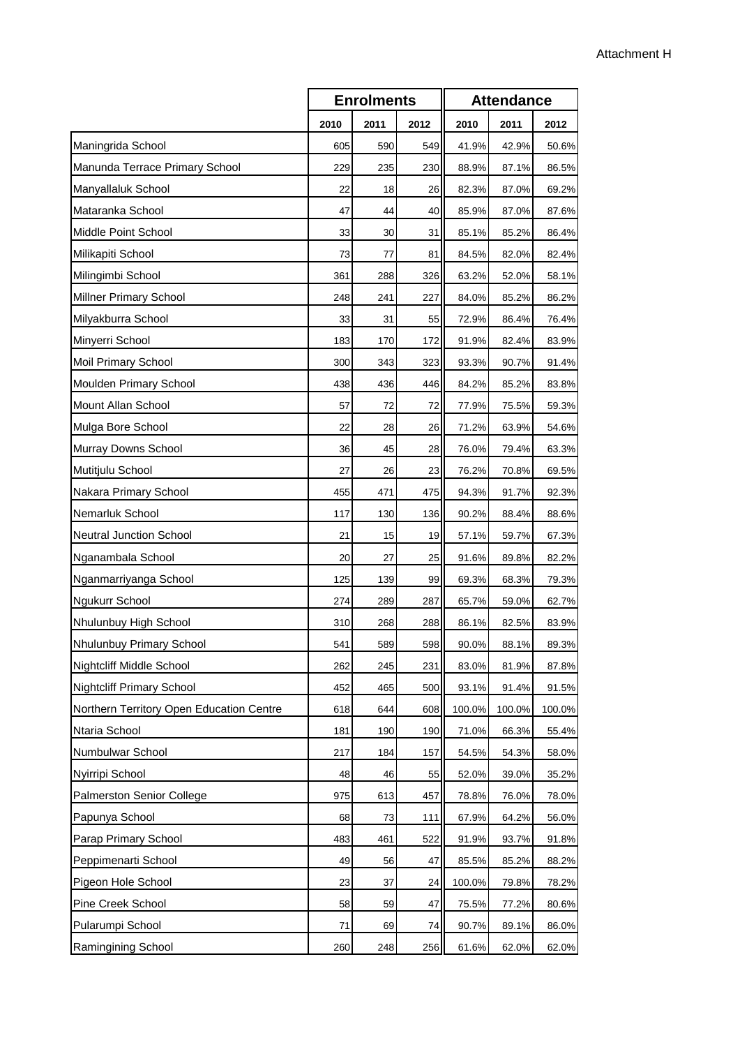|                                          | <b>Enrolments</b> |      |      | <b>Attendance</b> |        |        |
|------------------------------------------|-------------------|------|------|-------------------|--------|--------|
|                                          | 2010              | 2011 | 2012 | 2010              | 2011   | 2012   |
| Maningrida School                        | 605               | 590  | 549  | 41.9%             | 42.9%  | 50.6%  |
| Manunda Terrace Primary School           | 229               | 235  | 230  | 88.9%             | 87.1%  | 86.5%  |
| Manyallaluk School                       | 22                | 18   | 26   | 82.3%             | 87.0%  | 69.2%  |
| Mataranka School                         | 47                | 44   | 40   | 85.9%             | 87.0%  | 87.6%  |
| Middle Point School                      | 33                | 30   | 31   | 85.1%             | 85.2%  | 86.4%  |
| Milikapiti School                        | 73                | 77   | 81   | 84.5%             | 82.0%  | 82.4%  |
| Milingimbi School                        | 361               | 288  | 326  | 63.2%             | 52.0%  | 58.1%  |
| Millner Primary School                   | 248               | 241  | 227  | 84.0%             | 85.2%  | 86.2%  |
| Milyakburra School                       | 33                | 31   | 55   | 72.9%             | 86.4%  | 76.4%  |
| Minyerri School                          | 183               | 170  | 172  | 91.9%             | 82.4%  | 83.9%  |
| Moil Primary School                      | 300               | 343  | 323  | 93.3%             | 90.7%  | 91.4%  |
| Moulden Primary School                   | 438               | 436  | 446  | 84.2%             | 85.2%  | 83.8%  |
| Mount Allan School                       | 57                | 72   | 72   | 77.9%             | 75.5%  | 59.3%  |
| Mulga Bore School                        | 22                | 28   | 26   | 71.2%             | 63.9%  | 54.6%  |
| Murray Downs School                      | 36                | 45   | 28   | 76.0%             | 79.4%  | 63.3%  |
| Mutitjulu School                         | 27                | 26   | 23   | 76.2%             | 70.8%  | 69.5%  |
| Nakara Primary School                    | 455               | 471  | 475  | 94.3%             | 91.7%  | 92.3%  |
| Nemarluk School                          | 117               | 130  | 136  | 90.2%             | 88.4%  | 88.6%  |
| <b>Neutral Junction School</b>           | 21                | 15   | 19   | 57.1%             | 59.7%  | 67.3%  |
| Nganambala School                        | 20                | 27   | 25   | 91.6%             | 89.8%  | 82.2%  |
| Nganmarriyanga School                    | 125               | 139  | 99   | 69.3%             | 68.3%  | 79.3%  |
| Ngukurr School                           | 274               | 289  | 287  | 65.7%             | 59.0%  | 62.7%  |
| Nhulunbuy High School                    | 310               | 268  | 288  | 86.1%             | 82.5%  | 83.9%  |
| Nhulunbuy Primary School                 | 541               | 589  | 598  | 90.0%             | 88.1%  | 89.3%  |
| Nightcliff Middle School                 | 262               | 245  | 231  | 83.0%             | 81.9%  | 87.8%  |
| Nightcliff Primary School                | 452               | 465  | 500  | 93.1%             | 91.4%  | 91.5%  |
| Northern Territory Open Education Centre | 618               | 644  | 608  | 100.0%            | 100.0% | 100.0% |
| Ntaria School                            | 181               | 190  | 190  | 71.0%             | 66.3%  | 55.4%  |
| Numbulwar School                         | 217               | 184  | 157  | 54.5%             | 54.3%  | 58.0%  |
| Nyirripi School                          | 48                | 46   | 55   | 52.0%             | 39.0%  | 35.2%  |
| Palmerston Senior College                | 975               | 613  | 457  | 78.8%             | 76.0%  | 78.0%  |
| Papunya School                           | 68                | 73   | 111  | 67.9%             | 64.2%  | 56.0%  |
| Parap Primary School                     | 483               | 461  | 522  | 91.9%             | 93.7%  | 91.8%  |
| Peppimenarti School                      | 49                | 56   | 47   | 85.5%             | 85.2%  | 88.2%  |
| Pigeon Hole School                       | 23                | 37   | 24   | 100.0%            | 79.8%  | 78.2%  |
| Pine Creek School                        | 58                | 59   | 47   | 75.5%             | 77.2%  | 80.6%  |
| Pularumpi School                         | 71                | 69   | 74   | 90.7%             | 89.1%  | 86.0%  |
| Ramingining School                       | 260               | 248  | 256  | 61.6%             | 62.0%  | 62.0%  |